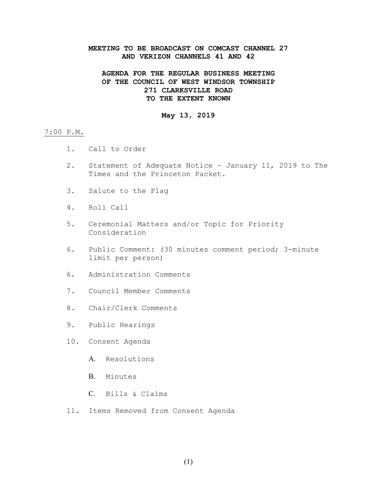### **MEETING TO BE BROADCAST ON COMCAST CHANNEL 27 AND VERIZON CHANNELS 41 AND 42**

# **AGENDA FOR THE REGULAR BUSINESS MEETING OF THE COUNCIL OF WEST WINDSOR TOWNSHIP 271 CLARKSVILLE ROAD TO THE EXTENT KNOWN**

# **May 13, 2019**

#### 7:00 P.M.

- 1. Call to Order
- 2. Statement of Adequate Notice January 11, 2019 to The Times and the Princeton Packet.
- 3. Salute to the Flag
- 4. Roll Call
- 5. Ceremonial Matters and/or Topic for Priority Consideration
- 6. Public Comment: (30 minutes comment period; 3-minute limit per person)
- 6. Administration Comments
- 7. Council Member Comments
- 8. Chair/Clerk Comments
- 9. Public Hearings
- 10. Consent Agenda
	- A. Resolutions
	- B. Minutes
	- C. Bills & Claims
- 11. Items Removed from Consent Agenda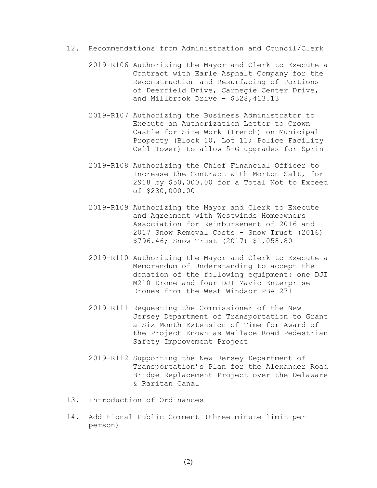- 12. Recommendations from Administration and Council/Clerk
	- 2019-R106 Authorizing the Mayor and Clerk to Execute a Contract with Earle Asphalt Company for the Reconstruction and Resurfacing of Portions of Deerfield Drive, Carnegie Center Drive, and Millbrook Drive - \$328,413.13
	- 2019-R107 Authorizing the Business Administrator to Execute an Authorization Letter to Crown Castle for Site Work (Trench) on Municipal Property (Block 10, Lot 11; Police Facility Cell Tower) to allow 5-G upgrades for Sprint
	- 2019-R108 Authorizing the Chief Financial Officer to Increase the Contract with Morton Salt, for 2918 by \$50,000.00 for a Total Not to Exceed of \$230,000.00
	- 2019-R109 Authorizing the Mayor and Clerk to Execute and Agreement with Westwinds Homeowners Association for Reimbursement of 2016 and 2017 Snow Removal Costs – Snow Trust (2016) \$796.46; Snow Trust (2017) \$1,058.80
	- 2019-R110 Authorizing the Mayor and Clerk to Execute a Memorandum of Understanding to accept the donation of the following equipment: one DJI M210 Drone and four DJI Mavic Enterprise Drones from the West Windsor PBA 271
	- 2019-R111 Requesting the Commissioner of the New Jersey Department of Transportation to Grant a Six Month Extension of Time for Award of the Project Known as Wallace Road Pedestrian Safety Improvement Project
	- 2019-R112 Supporting the New Jersey Department of Transportation's Plan for the Alexander Road Bridge Replacement Project over the Delaware & Raritan Canal
- 13. Introduction of Ordinances
- 14. Additional Public Comment (three-minute limit per person)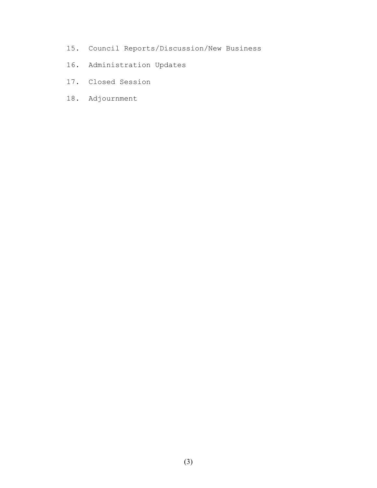- 15. Council Reports/Discussion/New Business
- 16. Administration Updates
- 17. Closed Session
- 18. Adjournment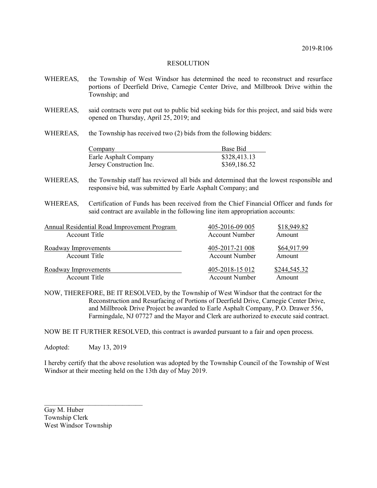- WHEREAS, the Township of West Windsor has determined the need to reconstruct and resurface portions of Deerfield Drive, Carnegie Center Drive, and Millbrook Drive within the Township; and WHEREAS, said contracts were put out to public bid seeking bids for this project, and said bids were opened on Thursday, April 25, 2019; and
- WHEREAS, the Township has received two (2) bids from the following bidders:

| Company                  | Base Bid     |  |  |
|--------------------------|--------------|--|--|
| Earle Asphalt Company    | \$328,413.13 |  |  |
| Jersey Construction Inc. | \$369,186.52 |  |  |

- WHEREAS, the Township staff has reviewed all bids and determined that the lowest responsible and responsive bid, was submitted by Earle Asphalt Company; and
- WHEREAS, Certification of Funds has been received from the Chief Financial Officer and funds for said contract are available in the following line item appropriation accounts:

| Annual Residential Road Improvement Program | 405-2016-09 005       | \$18,949.82  |
|---------------------------------------------|-----------------------|--------------|
| Account Title                               | <b>Account Number</b> | Amount       |
| Roadway Improvements                        | 405-2017-21 008       | \$64,917.99  |
| Account Title                               | <b>Account Number</b> | Amount       |
| Roadway Improvements                        | 405-2018-15 012       | \$244,545.32 |
| Account Title                               | Account Number        | Amount       |

NOW, THEREFORE, BE IT RESOLVED, by the Township of West Windsor that the contract for the Reconstruction and Resurfacing of Portions of Deerfield Drive, Carnegie Center Drive, and Millbrook Drive Project be awarded to Earle Asphalt Company, P.O. Drawer 556, Farmingdale, NJ 07727 and the Mayor and Clerk are authorized to execute said contract.

NOW BE IT FURTHER RESOLVED, this contract is awarded pursuant to a fair and open process.

Adopted: May 13, 2019

I hereby certify that the above resolution was adopted by the Township Council of the Township of West Windsor at their meeting held on the 13th day of May 2019.

Gay M. Huber Township Clerk West Windsor Township

 $\mathcal{L}_\text{max}$  , where  $\mathcal{L}_\text{max}$  , we have the set of  $\mathcal{L}_\text{max}$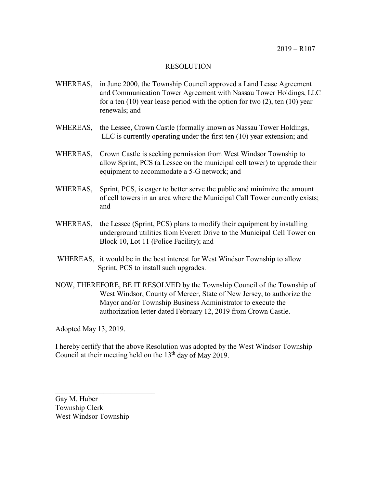- WHEREAS, in June 2000, the Township Council approved a Land Lease Agreement and Communication Tower Agreement with Nassau Tower Holdings, LLC for a ten  $(10)$  year lease period with the option for two  $(2)$ , ten  $(10)$  year renewals; and
- WHEREAS, the Lessee, Crown Castle (formally known as Nassau Tower Holdings, LLC is currently operating under the first ten (10) year extension; and
- WHEREAS, Crown Castle is seeking permission from West Windsor Township to allow Sprint, PCS (a Lessee on the municipal cell tower) to upgrade their equipment to accommodate a 5-G network; and
- WHEREAS, Sprint, PCS, is eager to better serve the public and minimize the amount of cell towers in an area where the Municipal Call Tower currently exists; and
- WHEREAS, the Lessee (Sprint, PCS) plans to modify their equipment by installing underground utilities from Everett Drive to the Municipal Cell Tower on Block 10, Lot 11 (Police Facility); and
- WHEREAS, it would be in the best interest for West Windsor Township to allow Sprint, PCS to install such upgrades.
- NOW, THEREFORE, BE IT RESOLVED by the Township Council of the Township of West Windsor, County of Mercer, State of New Jersey, to authorize the Mayor and/or Township Business Administrator to execute the authorization letter dated February 12, 2019 from Crown Castle.

Adopted May 13, 2019.

I hereby certify that the above Resolution was adopted by the West Windsor Township Council at their meeting held on the  $13<sup>th</sup>$  day of May 2019.

Gay M. Huber Township Clerk West Windsor Township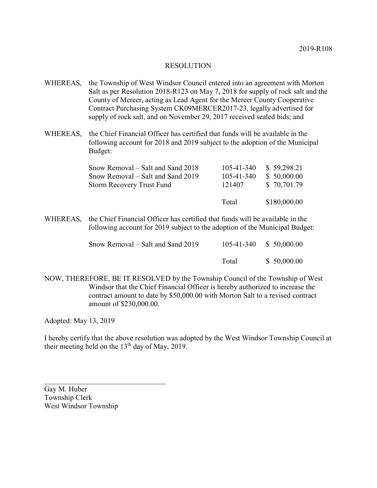- WHEREAS, the Township of West Windsor Council entered into an agreement with Morton Salt as per Resolution 2018-R123 on May 7, 2018 for supply of rock salt and the County of Mercer, acting as Lead Agent for the Mercer County Cooperative Contract Purchasing System CK09MERCER2017-23, legally advertised for supply of rock salt, and on November 29, 2017 received sealed bids; and
- WHEREAS, the Chief Financial Officer has certified that funds will be available in the following account for 2018 and 2019 subject to the adoption of the Municipal Budget:

|        | \$180,000.00               |
|--------|----------------------------|
| 121407 | \$50,000.00<br>\$70,701.79 |
|        | \$59,298.21                |
|        | 105-41-340<br>105-41-340   |

WHEREAS, the Chief Financial Officer has certified that funds will be available in the following account for 2019 subject to the adoption of the Municipal Budget:

| Snow Removal – Salt and Sand 2019 |       | 105-41-340 \$ 50,000.00 |
|-----------------------------------|-------|-------------------------|
|                                   | Total | \$50,000.00             |

NOW, THEREFORE, BE IT RESOLVED by the Township Council of the Township of West Windsor that the Chief Financial Officer is hereby authorized to increase the contract amount to date by \$50,000.00 with Morton Salt to a revised contract amount of \$230,000.00.

Adopted: May 13, 2019

I hereby certify that the above resolution was adopted by the West Windsor Township Council at their meeting held on the 13th day of May, 2019.

Gay M. Huber Township Clerk West Windsor Township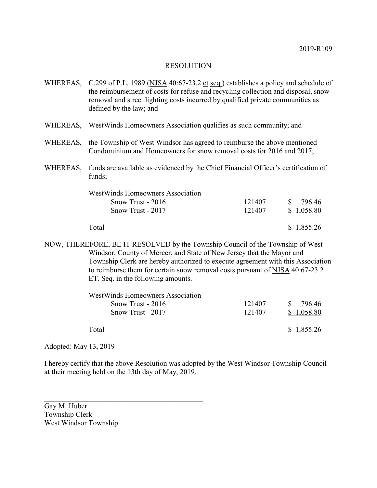|          | WHEREAS, C.299 of P.L. 1989 (NJSA 40:67-23.2 et seq.) establishes a policy and schedule of<br>the reimbursement of costs for refuse and recycling collection and disposal, snow<br>removal and street lighting costs incurred by qualified private communities as<br>defined by the law; and |        |                        |
|----------|----------------------------------------------------------------------------------------------------------------------------------------------------------------------------------------------------------------------------------------------------------------------------------------------|--------|------------------------|
|          | WHEREAS, WestWinds Homeowners Association qualifies as such community; and                                                                                                                                                                                                                   |        |                        |
| WHEREAS, | the Township of West Windsor has agreed to reimburse the above mentioned<br>Condominium and Homeowners for snow removal costs for 2016 and 2017;                                                                                                                                             |        |                        |
| WHEREAS, | funds are available as evidenced by the Chief Financial Officer's certification of<br>funds;                                                                                                                                                                                                 |        |                        |
|          | <b>WestWinds Homeowners Association</b>                                                                                                                                                                                                                                                      |        |                        |
|          | Snow Trust - 2016                                                                                                                                                                                                                                                                            | 121407 | $\mathbb{S}$<br>796.46 |
|          | Snow Trust - 2017                                                                                                                                                                                                                                                                            | 121407 | \$1,058.80             |
|          | Total                                                                                                                                                                                                                                                                                        |        | \$1,855.26             |
|          | NOW, THEREFORE, BE IT RESOLVED by the Township Council of the Township of West                                                                                                                                                                                                               |        |                        |
|          | Windsor, County of Mercer, and State of New Jersey that the Mayor and                                                                                                                                                                                                                        |        |                        |
|          | Township Clerk are hereby authorized to execute agreement with this Association                                                                                                                                                                                                              |        |                        |
|          | to reimburse them for certain snow removal costs pursuant of NJSA 40:67-23.2                                                                                                                                                                                                                 |        |                        |
|          | ET. Seq. in the following amounts.                                                                                                                                                                                                                                                           |        |                        |
|          | WestWinds Homeowners Association                                                                                                                                                                                                                                                             |        |                        |

| <u>West William Hullico Wilchman Americal</u> |        |                         |
|-----------------------------------------------|--------|-------------------------|
| $Show Trust - 2016$                           | 121407 | 796.46<br>$\mathcal{S}$ |
| Snow Trust - 2017                             | 121407 | \$1,058.80              |
| Total                                         |        | \$1,855.26              |
|                                               |        |                         |

Adopted: May 13, 2019

I hereby certify that the above Resolution was adopted by the West Windsor Township Council at their meeting held on the 13th day of May, 2019.

Gay M. Huber Township Clerk West Windsor Township

 $\mathcal{L}_\text{max}$  and  $\mathcal{L}_\text{max}$  and  $\mathcal{L}_\text{max}$  and  $\mathcal{L}_\text{max}$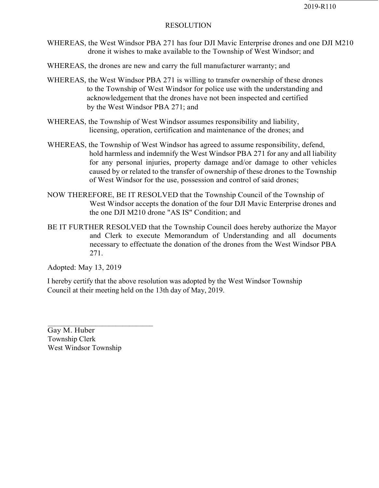- WHEREAS, the West Windsor PBA 271 has four DJI Mavic Enterprise drones and one DJI M210 drone it wishes to make available to the Township of West Windsor; and
- WHEREAS, the drones are new and carry the full manufacturer warranty; and
- WHEREAS, the West Windsor PBA 271 is willing to transfer ownership of these drones to the Township of West Windsor for police use with the understanding and acknowledgement that the drones have not been inspected and certified by the West Windsor PBA 271; and
- WHEREAS, the Township of West Windsor assumes responsibility and liability, licensing, operation, certification and maintenance of the drones; and
- WHEREAS, the Township of West Windsor has agreed to assume responsibility, defend, hold harmless and indemnify the West Windsor PBA 271 for any and all liability for any personal injuries, property damage and/or damage to other vehicles caused by or related to the transfer of ownership of these drones to the Township of West Windsor for the use, possession and control of said drones;
- NOW THEREFORE, BE IT RESOLVED that the Township Council of the Township of West Windsor accepts the donation of the four DJI Mavic Enterprise drones and the one DJI M210 drone "AS IS" Condition; and
- BE IT FURTHER RESOLVED that the Township Council does hereby authorize the Mayor and Clerk to execute Memorandum of Understanding and all documents necessary to effectuate the donation of the drones from the West Windsor PBA 271.

Adopted: May 13, 2019

I hereby certify that the above resolution was adopted by the West Windsor Township Council at their meeting held on the 13th day of May, 2019.

Gay M. Huber Township Clerk West Windsor Township

 $\mathcal{L}_\text{max} = \frac{1}{2} \sum_{i=1}^{n} \frac{1}{2} \sum_{i=1}^{n} \frac{1}{2} \sum_{i=1}^{n} \frac{1}{2} \sum_{i=1}^{n} \frac{1}{2} \sum_{i=1}^{n} \frac{1}{2} \sum_{i=1}^{n} \frac{1}{2} \sum_{i=1}^{n} \frac{1}{2} \sum_{i=1}^{n} \frac{1}{2} \sum_{i=1}^{n} \frac{1}{2} \sum_{i=1}^{n} \frac{1}{2} \sum_{i=1}^{n} \frac{1}{2} \sum_{i=1}^{n} \frac{1$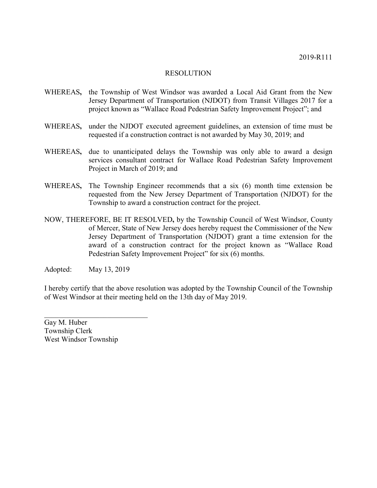- WHEREAS**,** the Township of West Windsor was awarded a Local Aid Grant from the New Jersey Department of Transportation (NJDOT) from Transit Villages 2017 for a project known as "Wallace Road Pedestrian Safety Improvement Project"; and
- WHEREAS**,** under the NJDOT executed agreement guidelines, an extension of time must be requested if a construction contract is not awarded by May 30, 2019; and
- WHEREAS**,** due to unanticipated delays the Township was only able to award a design services consultant contract for Wallace Road Pedestrian Safety Improvement Project in March of 2019; and
- WHEREAS**,** The Township Engineer recommends that a six (6) month time extension be requested from the New Jersey Department of Transportation (NJDOT) for the Township to award a construction contract for the project.
- NOW, THEREFORE, BE IT RESOLVED**,** by the Township Council of West Windsor, County of Mercer, State of New Jersey does hereby request the Commissioner of the New Jersey Department of Transportation (NJDOT) grant a time extension for the award of a construction contract for the project known as "Wallace Road Pedestrian Safety Improvement Project" for six (6) months.

Adopted: May 13, 2019

I hereby certify that the above resolution was adopted by the Township Council of the Township of West Windsor at their meeting held on the 13th day of May 2019.

Gay M. Huber Township Clerk West Windsor Township